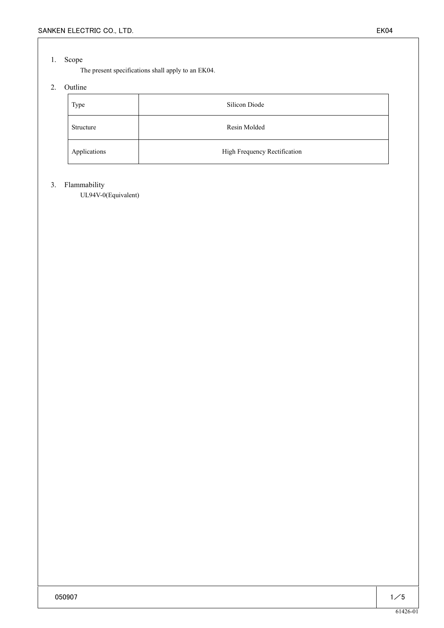## 1. Scope

The present specifications shall apply to an EK04.

# 2. Outline

| Type         | Silicon Diode                |  |  |  |  |  |  |
|--------------|------------------------------|--|--|--|--|--|--|
| Structure    | Resin Molded                 |  |  |  |  |  |  |
| Applications | High Frequency Rectification |  |  |  |  |  |  |

### 3. Flammability

UL94V-0(Equivalent)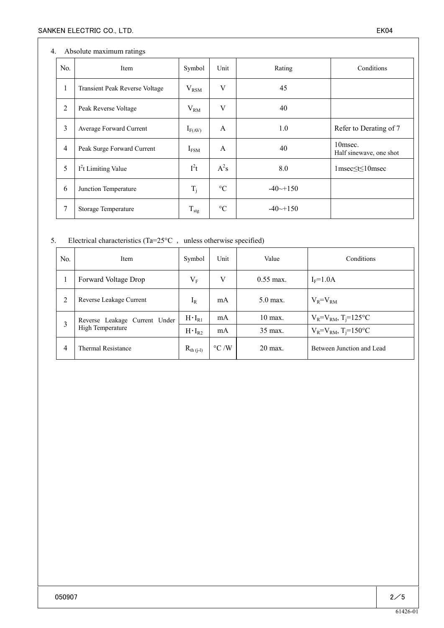## 4. Absolute maximum ratings

| N <sub>0</sub> | Item                           | Symbol           | Unit            | Rating                 | Conditions                         |
|----------------|--------------------------------|------------------|-----------------|------------------------|------------------------------------|
| 1              | Transient Peak Reverse Voltage | $V_{\rm RSM}$    | V               | 45                     |                                    |
| $\overline{2}$ | Peak Reverse Voltage           | $V_{RM}$         | V               | 40                     |                                    |
| 3              | Average Forward Current        | $I_{F(AV)}$      | A               | 1.0                    | Refer to Derating of 7             |
| $\overline{4}$ | Peak Surge Forward Current     | $I_{FSM}$        | A               | 40                     | 10msec.<br>Half sinewave, one shot |
| 5              | $I2t$ Limiting Value           | $I^2t$           | $A^2s$          | 8.0                    | $1$ msec $\leq t \leq 10$ msec     |
| 6              | Junction Temperature           | $T_i$            | $\rm ^{\circ}C$ | $-40 \rightarrow +150$ |                                    |
| 7              | Storage Temperature            | $T_{\text{stg}}$ | $\rm ^{\circ}C$ | $-40 \rightarrow +150$ |                                    |

# 5. Electrical characteristics (Ta= $25^{\circ}$ C , unless otherwise specified)

| N <sub>0</sub> | Item                                              | Symbol           | Unit               | Value                   | Conditions                             |
|----------------|---------------------------------------------------|------------------|--------------------|-------------------------|----------------------------------------|
|                | Forward Voltage Drop                              |                  | V                  | $0.55 \,\mathrm{max}$ . | $I_F = 1.0A$                           |
| 2              | Reverse Leakage Current                           | $I_R$            | mA                 | $5.0$ max.              | $V_R = V_{RM}$                         |
| 3              | Reverse Leakage Current Under<br>High Temperature | $H \cdot I_{R1}$ | mA                 | $10$ max.               | $V_R = V_{RM}$ , T <sub>i</sub> =125°C |
|                |                                                   | $H \cdot I_{R2}$ | mA                 | $35 \text{ max}$ .      | $V_R = V_{RM}$ , T <sub>i</sub> =150°C |
| 4              | <b>Thermal Resistance</b>                         | $R_{th (j-l)}$   | $\rm ^{\circ}C$ /W | $20 \text{ max}$ .      | Between Junction and Lead              |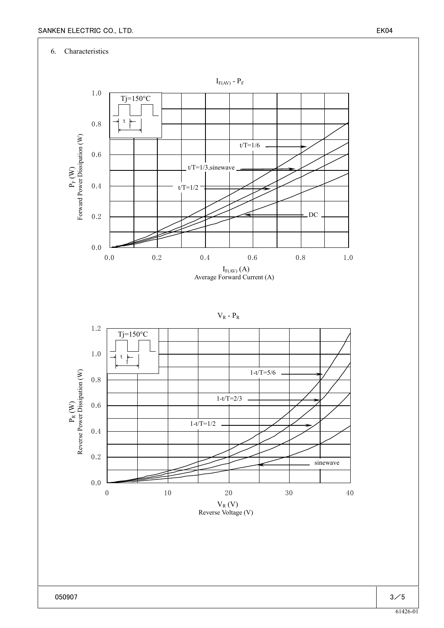

61426-01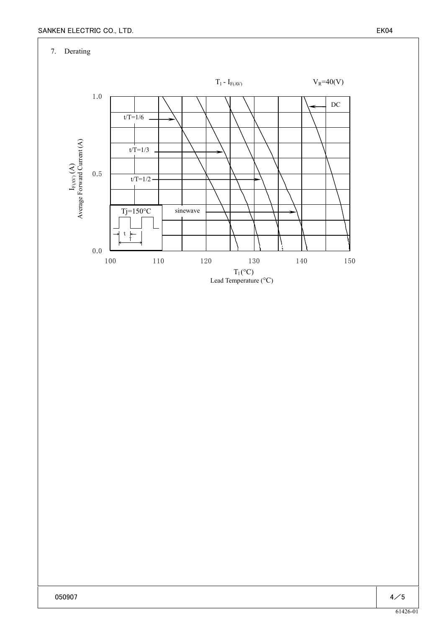7. Derating